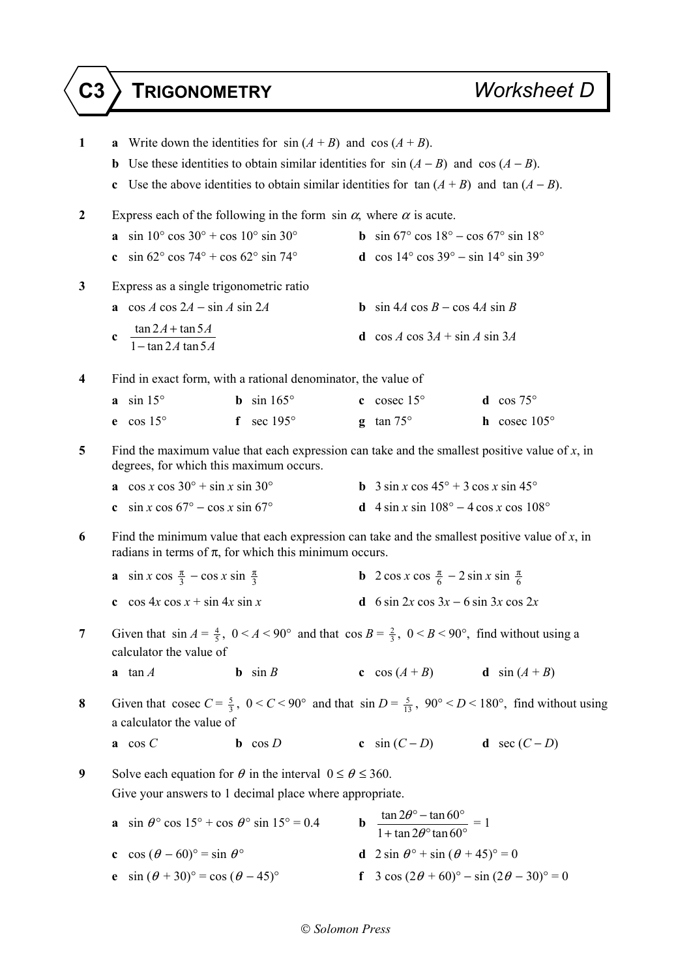| $\mathbf{1}$                                                                                                                                     | <b>a</b> Write down the identities for $sin(A + B)$ and $cos(A + B)$ .                                                                                                        |                                                               |             |                                                                                               |                                                                                                                                        |  |  |
|--------------------------------------------------------------------------------------------------------------------------------------------------|-------------------------------------------------------------------------------------------------------------------------------------------------------------------------------|---------------------------------------------------------------|-------------|-----------------------------------------------------------------------------------------------|----------------------------------------------------------------------------------------------------------------------------------------|--|--|
|                                                                                                                                                  | Use these identities to obtain similar identities for $sin(A - B)$ and $cos(A - B)$ .<br>$\mathbf b$                                                                          |                                                               |             |                                                                                               |                                                                                                                                        |  |  |
|                                                                                                                                                  | Use the above identities to obtain similar identities for $\tan(A + B)$ and $\tan(A - B)$ .<br>c                                                                              |                                                               |             |                                                                                               |                                                                                                                                        |  |  |
| 2                                                                                                                                                | Express each of the following in the form $\sin \alpha$ , where $\alpha$ is acute.                                                                                            |                                                               |             |                                                                                               |                                                                                                                                        |  |  |
|                                                                                                                                                  | <b>a</b> sin $10^{\circ}$ cos $30^{\circ}$ + cos $10^{\circ}$ sin $30^{\circ}$                                                                                                |                                                               |             | <b>b</b> sin $67^{\circ}$ cos $18^{\circ}$ – cos $67^{\circ}$ sin $18^{\circ}$                |                                                                                                                                        |  |  |
|                                                                                                                                                  | $\sin 62^\circ \cos 74^\circ + \cos 62^\circ \sin 74^\circ$<br>$\mathbf{c}$                                                                                                   |                                                               |             | d cos $14^{\circ}$ cos $39^{\circ}$ - sin $14^{\circ}$ sin $39^{\circ}$                       |                                                                                                                                        |  |  |
| 3                                                                                                                                                |                                                                                                                                                                               | Express as a single trigonometric ratio                       |             |                                                                                               |                                                                                                                                        |  |  |
|                                                                                                                                                  | a $\cos A \cos 2A - \sin A \sin 2A$                                                                                                                                           |                                                               |             | <b>b</b> $\sin 4A \cos B - \cos 4A \sin B$                                                    |                                                                                                                                        |  |  |
|                                                                                                                                                  | $\tan 2A + \tan 5A$<br>$\mathbf c$<br>$1 - \tan 2A \tan 5A$                                                                                                                   |                                                               |             | <b>d</b> $\cos A \cos 3A + \sin A \sin 3A$                                                    |                                                                                                                                        |  |  |
| 4                                                                                                                                                |                                                                                                                                                                               | Find in exact form, with a rational denominator, the value of |             |                                                                                               |                                                                                                                                        |  |  |
|                                                                                                                                                  | $a \sin 15^\circ$                                                                                                                                                             | <b>b</b> sin $165^\circ$                                      |             | c cosec $15^{\circ}$                                                                          | <b>d</b> $\cos 75^\circ$                                                                                                               |  |  |
|                                                                                                                                                  | $e$ cos 15 $\circ$                                                                                                                                                            | sec 195°<br>f                                                 |             | $g \tan 75^\circ$                                                                             | $h$ cosec 105 $\degree$                                                                                                                |  |  |
| Find the maximum value that each expression can take and the smallest positive value of $x$ , in<br>5<br>degrees, for which this maximum occurs. |                                                                                                                                                                               |                                                               |             |                                                                                               |                                                                                                                                        |  |  |
|                                                                                                                                                  | a cos $x \cos 30^\circ + \sin x \sin 30^\circ$                                                                                                                                |                                                               |             | <b>b</b> $3 \sin x \cos 45^\circ + 3 \cos x \sin 45^\circ$                                    |                                                                                                                                        |  |  |
|                                                                                                                                                  | c $\sin x \cos 67^\circ - \cos x \sin 67^\circ$                                                                                                                               |                                                               |             | <b>d</b> 4 sin x sin $108^{\circ} - 4 \cos x \cos 108^{\circ}$                                |                                                                                                                                        |  |  |
| 6                                                                                                                                                | Find the minimum value that each expression can take and the smallest positive value of $x$ , in<br>radians in terms of $\pi$ , for which this minimum occurs.                |                                                               |             |                                                                                               |                                                                                                                                        |  |  |
|                                                                                                                                                  |                                                                                                                                                                               | a $\sin x \cos \frac{\pi}{3} - \cos x \sin \frac{\pi}{3}$     |             | <b>b</b> 2 cos x cos $\frac{\pi}{6}$ – 2 sin x sin $\frac{\pi}{6}$                            |                                                                                                                                        |  |  |
|                                                                                                                                                  | $\cos 4x \cos x + \sin 4x \sin x$<br>$\mathbf c$                                                                                                                              |                                                               |             | <b>d</b> 6 sin 2x cos $3x - 6$ sin 3x cos 2x                                                  |                                                                                                                                        |  |  |
| 7                                                                                                                                                | calculator the value of                                                                                                                                                       |                                                               |             |                                                                                               | Given that $\sin A = \frac{4}{5}$ , $0 < A < 90^{\circ}$ and that $\cos B = \frac{2}{3}$ , $0 < B < 90^{\circ}$ , find without using a |  |  |
|                                                                                                                                                  | $a \tan A$                                                                                                                                                                    | <b>b</b> $\sin B$                                             |             |                                                                                               | c $\cos(A+B)$ d $\sin(A+B)$                                                                                                            |  |  |
| 8                                                                                                                                                | Given that cosec $C = \frac{5}{3}$ , $0 < C < 90^{\circ}$ and that $\sin D = \frac{5}{13}$ , $90^{\circ} < D < 180^{\circ}$ , find without using<br>a calculator the value of |                                                               |             |                                                                                               |                                                                                                                                        |  |  |
|                                                                                                                                                  | $\mathbf a$ cos $C$                                                                                                                                                           | <b>b</b> $\cos D$                                             |             |                                                                                               | c $sin(C-D)$ d $sec(C-D)$                                                                                                              |  |  |
| 9                                                                                                                                                | Solve each equation for $\theta$ in the interval $0 \le \theta \le 360$ .                                                                                                     |                                                               |             |                                                                                               |                                                                                                                                        |  |  |
|                                                                                                                                                  | Give your answers to 1 decimal place where appropriate.                                                                                                                       |                                                               |             |                                                                                               |                                                                                                                                        |  |  |
|                                                                                                                                                  |                                                                                                                                                                               | a $\sin \theta$ ° cos 15° + cos $\theta$ ° sin 15° = 0.4      | $\mathbf b$ | $\frac{\tan 2\theta^{\circ} - \tan 60^{\circ}}{1 + \tan 2\theta^{\circ} \tan 60^{\circ}} = 1$ |                                                                                                                                        |  |  |
|                                                                                                                                                  | c cos $(\theta - 60)$ ° = sin $\theta$ °                                                                                                                                      |                                                               |             | <b>d</b> $2 \sin \theta^\circ + \sin (\theta + 45)^\circ = 0$                                 |                                                                                                                                        |  |  |
|                                                                                                                                                  | e $\sin (\theta + 30)^{\circ} = \cos (\theta - 45)^{\circ}$                                                                                                                   |                                                               |             |                                                                                               | f $3 \cos (2\theta + 60)^{\circ} - \sin (2\theta - 30)^{\circ} = 0$                                                                    |  |  |